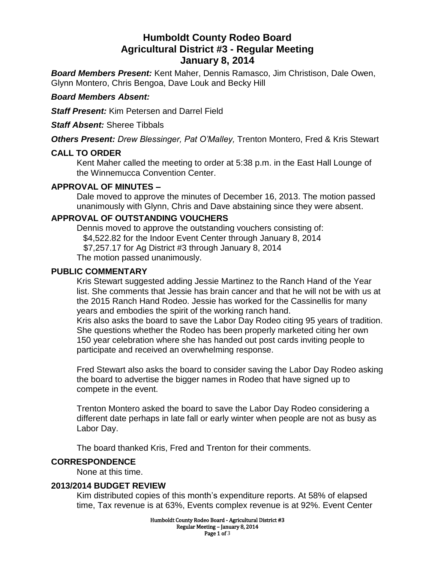# **Humboldt County Rodeo Board Agricultural District #3 - Regular Meeting January 8, 2014**

*Board Members Present:* Kent Maher, Dennis Ramasco, Jim Christison, Dale Owen, Glynn Montero, Chris Bengoa, Dave Louk and Becky Hill

### *Board Members Absent:*

*Staff Present:* Kim Petersen and Darrel Field

*Staff Absent:* Sheree Tibbals

*Others Present: Drew Blessinger, Pat O'Malley,* Trenton Montero, Fred & Kris Stewart

### **CALL TO ORDER**

Kent Maher called the meeting to order at 5:38 p.m. in the East Hall Lounge of the Winnemucca Convention Center.

### **APPROVAL OF MINUTES –**

Dale moved to approve the minutes of December 16, 2013. The motion passed unanimously with Glynn, Chris and Dave abstaining since they were absent.

### **APPROVAL OF OUTSTANDING VOUCHERS**

Dennis moved to approve the outstanding vouchers consisting of: \$4,522.82 for the Indoor Event Center through January 8, 2014 \$7,257.17 for Ag District #3 through January 8, 2014 The motion passed unanimously.

#### **PUBLIC COMMENTARY**

Kris Stewart suggested adding Jessie Martinez to the Ranch Hand of the Year list. She comments that Jessie has brain cancer and that he will not be with us at the 2015 Ranch Hand Rodeo. Jessie has worked for the Cassinellis for many years and embodies the spirit of the working ranch hand.

Kris also asks the board to save the Labor Day Rodeo citing 95 years of tradition. She questions whether the Rodeo has been properly marketed citing her own 150 year celebration where she has handed out post cards inviting people to participate and received an overwhelming response.

Fred Stewart also asks the board to consider saving the Labor Day Rodeo asking the board to advertise the bigger names in Rodeo that have signed up to compete in the event.

Trenton Montero asked the board to save the Labor Day Rodeo considering a different date perhaps in late fall or early winter when people are not as busy as Labor Day.

The board thanked Kris, Fred and Trenton for their comments.

### **CORRESPONDENCE**

None at this time.

### **2013/2014 BUDGET REVIEW**

Kim distributed copies of this month's expenditure reports. At 58% of elapsed time, Tax revenue is at 63%, Events complex revenue is at 92%. Event Center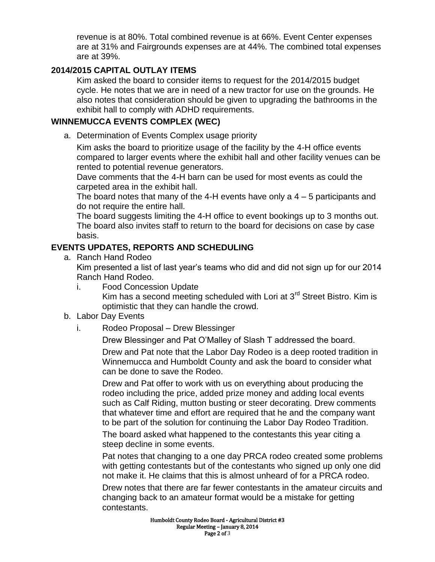revenue is at 80%. Total combined revenue is at 66%. Event Center expenses are at 31% and Fairgrounds expenses are at 44%. The combined total expenses are at 39%.

# **2014/2015 CAPITAL OUTLAY ITEMS**

Kim asked the board to consider items to request for the 2014/2015 budget cycle. He notes that we are in need of a new tractor for use on the grounds. He also notes that consideration should be given to upgrading the bathrooms in the exhibit hall to comply with ADHD requirements.

# **WINNEMUCCA EVENTS COMPLEX (WEC)**

a. Determination of Events Complex usage priority

Kim asks the board to prioritize usage of the facility by the 4-H office events compared to larger events where the exhibit hall and other facility venues can be rented to potential revenue generators.

Dave comments that the 4-H barn can be used for most events as could the carpeted area in the exhibit hall.

The board notes that many of the 4-H events have only a  $4-5$  participants and do not require the entire hall.

The board suggests limiting the 4-H office to event bookings up to 3 months out. The board also invites staff to return to the board for decisions on case by case basis.

# **EVENTS UPDATES, REPORTS AND SCHEDULING**

a. Ranch Hand Rodeo

Kim presented a list of last year's teams who did and did not sign up for our 2014 Ranch Hand Rodeo.

i. Food Concession Update Kim has a second meeting scheduled with Lori at 3<sup>rd</sup> Street Bistro. Kim is optimistic that they can handle the crowd.

# b. Labor Day Events

i. Rodeo Proposal – Drew Blessinger

Drew Blessinger and Pat O'Malley of Slash T addressed the board.

Drew and Pat note that the Labor Day Rodeo is a deep rooted tradition in Winnemucca and Humboldt County and ask the board to consider what can be done to save the Rodeo.

Drew and Pat offer to work with us on everything about producing the rodeo including the price, added prize money and adding local events such as Calf Riding, mutton busting or steer decorating. Drew comments that whatever time and effort are required that he and the company want to be part of the solution for continuing the Labor Day Rodeo Tradition.

The board asked what happened to the contestants this year citing a steep decline in some events.

Pat notes that changing to a one day PRCA rodeo created some problems with getting contestants but of the contestants who signed up only one did not make it. He claims that this is almost unheard of for a PRCA rodeo.

Drew notes that there are far fewer contestants in the amateur circuits and changing back to an amateur format would be a mistake for getting contestants.